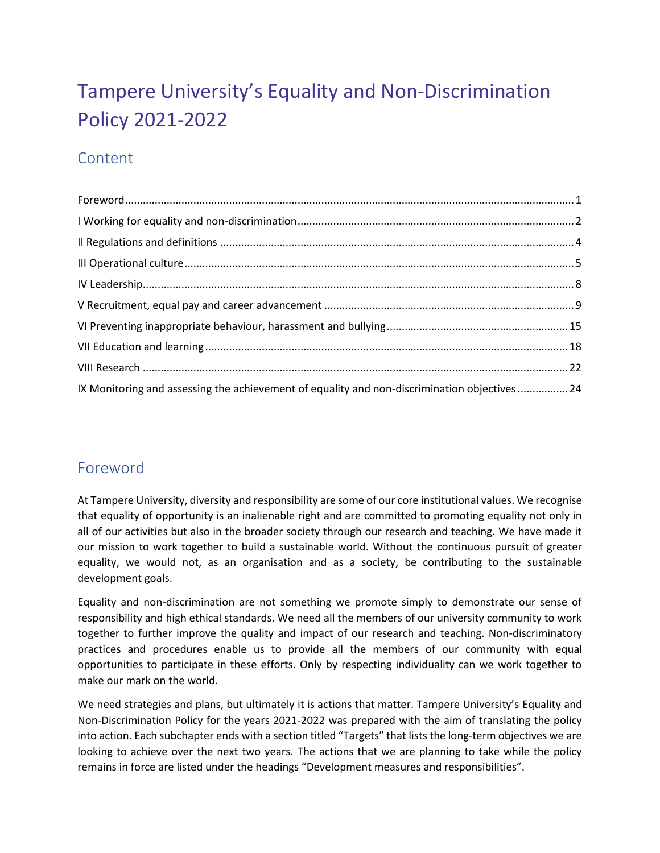# Tampere University's Equality and Non-Discrimination Policy 2021-2022

## Content

| IX Monitoring and assessing the achievement of equality and non-discrimination objectives  24 |  |
|-----------------------------------------------------------------------------------------------|--|

## <span id="page-0-0"></span>Foreword

At Tampere University, diversity and responsibility are some of our core institutional values. We recognise that equality of opportunity is an inalienable right and are committed to promoting equality not only in all of our activities but also in the broader society through our research and teaching. We have made it our mission to work together to build a sustainable world. Without the continuous pursuit of greater equality, we would not, as an organisation and as a society, be contributing to the sustainable development goals.

Equality and non-discrimination are not something we promote simply to demonstrate our sense of responsibility and high ethical standards. We need all the members of our university community to work together to further improve the quality and impact of our research and teaching. Non-discriminatory practices and procedures enable us to provide all the members of our community with equal opportunities to participate in these efforts. Only by respecting individuality can we work together to make our mark on the world.

We need strategies and plans, but ultimately it is actions that matter. Tampere University's Equality and Non-Discrimination Policy for the years 2021-2022 was prepared with the aim of translating the policy into action. Each subchapter ends with a section titled "Targets" that lists the long-term objectives we are looking to achieve over the next two years. The actions that we are planning to take while the policy remains in force are listed under the headings "Development measures and responsibilities".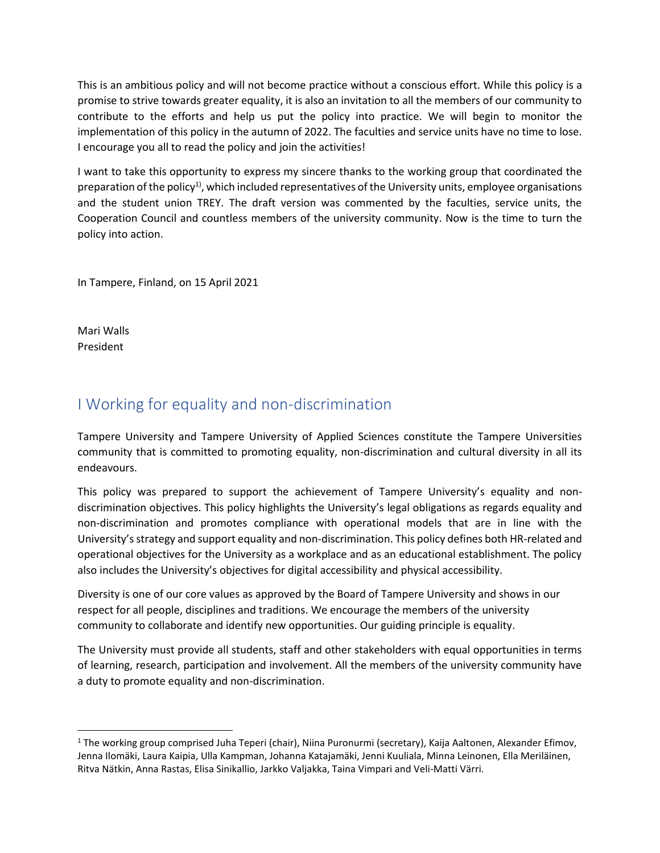This is an ambitious policy and will not become practice without a conscious effort. While this policy is a promise to strive towards greater equality, it is also an invitation to all the members of our community to contribute to the efforts and help us put the policy into practice. We will begin to monitor the implementation of this policy in the autumn of 2022. The faculties and service units have no time to lose. I encourage you all to read the policy and join the activities!

I want to take this opportunity to express my sincere thanks to the working group that coordinated the preparation of the policy<sup>1)</sup>, which included representatives of the University units, employee organisations and the student union TREY. The draft version was commented by the faculties, service units, the Cooperation Council and countless members of the university community. Now is the time to turn the policy into action.

In Tampere, Finland, on 15 April 2021

Mari Walls President

## <span id="page-1-0"></span>I Working for equality and non-discrimination

Tampere University and Tampere University of Applied Sciences constitute the Tampere Universities community that is committed to promoting equality, non-discrimination and cultural diversity in all its endeavours.

This policy was prepared to support the achievement of Tampere University's equality and nondiscrimination objectives. This policy highlights the University's legal obligations as regards equality and non-discrimination and promotes compliance with operational models that are in line with the University's strategy and support equality and non-discrimination. This policy defines both HR-related and operational objectives for the University as a workplace and as an educational establishment. The policy also includes the University's objectives for digital accessibility and physical accessibility.

Diversity is one of our core values as approved by the Board of Tampere University and shows in our respect for all people, disciplines and traditions. We encourage the members of the university community to collaborate and identify new opportunities. Our guiding principle is equality.

The University must provide all students, staff and other stakeholders with equal opportunities in terms of learning, research, participation and involvement. All the members of the university community have a duty to promote equality and non-discrimination.

<sup>1</sup> The working group comprised Juha Teperi (chair), Niina Puronurmi (secretary), Kaija Aaltonen, Alexander Efimov, Jenna Ilomäki, Laura Kaipia, Ulla Kampman, Johanna Katajamäki, Jenni Kuuliala, Minna Leinonen, Ella Meriläinen, Ritva Nätkin, Anna Rastas, Elisa Sinikallio, Jarkko Valjakka, Taina Vimpari and Veli-Matti Värri.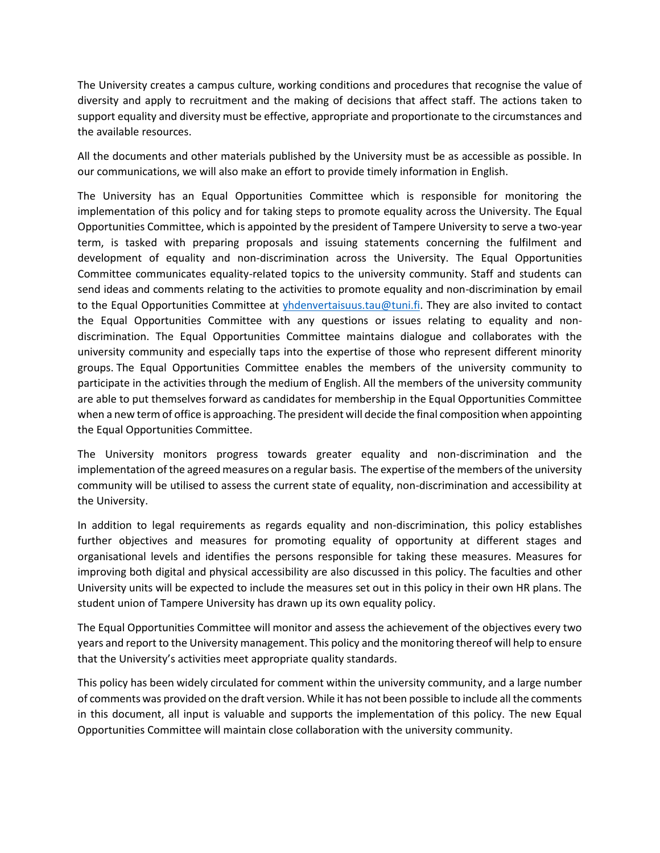The University creates a campus culture, working conditions and procedures that recognise the value of diversity and apply to recruitment and the making of decisions that affect staff. The actions taken to support equality and diversity must be effective, appropriate and proportionate to the circumstances and the available resources.

All the documents and other materials published by the University must be as accessible as possible. In our communications, we will also make an effort to provide timely information in English.

The University has an Equal Opportunities Committee which is responsible for monitoring the implementation of this policy and for taking steps to promote equality across the University. The Equal Opportunities Committee, which is appointed by the president of Tampere University to serve a two-year term, is tasked with preparing proposals and issuing statements concerning the fulfilment and development of equality and non-discrimination across the University. The Equal Opportunities Committee communicates equality-related topics to the university community. Staff and students can send ideas and comments relating to the activities to promote equality and non-discrimination by email to the Equal Opportunities Committee at [yhdenvertaisuus.tau@tuni.fi.](mailto:yhdenvertaisuus.tau@tuni.fi) They are also invited to contact the Equal Opportunities Committee with any questions or issues relating to equality and nondiscrimination. The Equal Opportunities Committee maintains dialogue and collaborates with the university community and especially taps into the expertise of those who represent different minority groups. The Equal Opportunities Committee enables the members of the university community to participate in the activities through the medium of English. All the members of the university community are able to put themselves forward as candidates for membership in the Equal Opportunities Committee when a new term of office is approaching. The president will decide the final composition when appointing the Equal Opportunities Committee.

The University monitors progress towards greater equality and non-discrimination and the implementation of the agreed measures on a regular basis. The expertise of the members of the university community will be utilised to assess the current state of equality, non-discrimination and accessibility at the University.

In addition to legal requirements as regards equality and non-discrimination, this policy establishes further objectives and measures for promoting equality of opportunity at different stages and organisational levels and identifies the persons responsible for taking these measures. Measures for improving both digital and physical accessibility are also discussed in this policy. The faculties and other University units will be expected to include the measures set out in this policy in their own HR plans. The student union of Tampere University has drawn up its own equality policy.

The Equal Opportunities Committee will monitor and assess the achievement of the objectives every two years and report to the University management. This policy and the monitoring thereof will help to ensure that the University's activities meet appropriate quality standards.

This policy has been widely circulated for comment within the university community, and a large number of comments was provided on the draft version. While it has not been possible to include all the comments in this document, all input is valuable and supports the implementation of this policy. The new Equal Opportunities Committee will maintain close collaboration with the university community.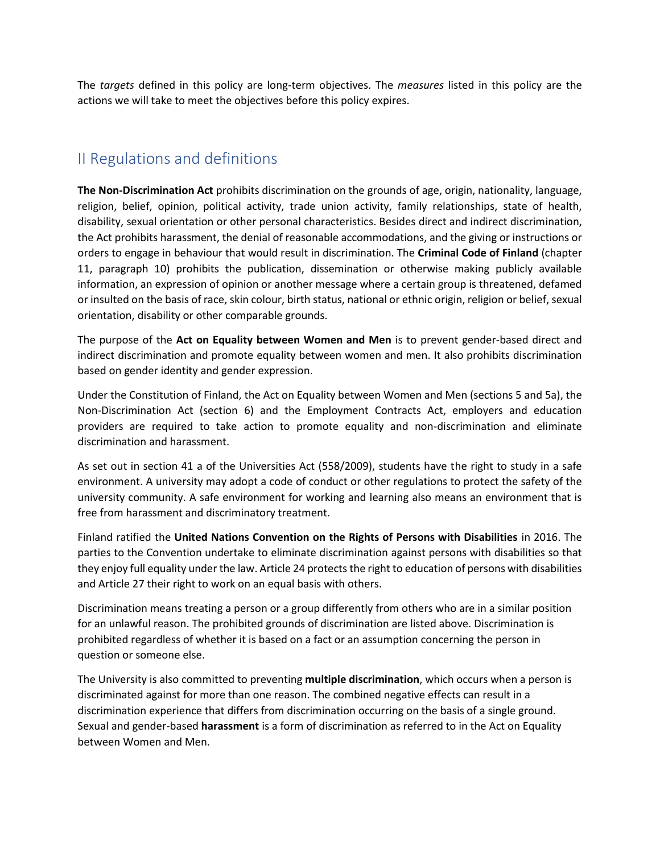The *targets* defined in this policy are long-term objectives. The *measures* listed in this policy are the actions we will take to meet the objectives before this policy expires.

## <span id="page-3-0"></span>II Regulations and definitions

**The Non-Discrimination Act** prohibits discrimination on the grounds of age, origin, nationality, language, religion, belief, opinion, political activity, trade union activity, family relationships, state of health, disability, sexual orientation or other personal characteristics. Besides direct and indirect discrimination, the Act prohibits harassment, the denial of reasonable accommodations, and the giving or instructions or orders to engage in behaviour that would result in discrimination. The **Criminal Code of Finland** (chapter 11, paragraph 10) prohibits the publication, dissemination or otherwise making publicly available information, an expression of opinion or another message where a certain group is threatened, defamed or insulted on the basis of race, skin colour, birth status, national or ethnic origin, religion or belief, sexual orientation, disability or other comparable grounds.

The purpose of the **Act on Equality between Women and Men** is to prevent gender-based direct and indirect discrimination and promote equality between women and men. It also prohibits discrimination based on gender identity and gender expression.

Under the Constitution of Finland, the Act on Equality between Women and Men (sections 5 and 5a), the Non-Discrimination Act (section 6) and the Employment Contracts Act, employers and education providers are required to take action to promote equality and non-discrimination and eliminate discrimination and harassment.

As set out in section 41 a of the Universities Act (558/2009), students have the right to study in a safe environment. A university may adopt a code of conduct or other regulations to protect the safety of the university community. A safe environment for working and learning also means an environment that is free from harassment and discriminatory treatment.

Finland ratified the **United Nations Convention on the Rights of Persons with Disabilities** in 2016. The parties to the Convention undertake to eliminate discrimination against persons with disabilities so that they enjoy full equality under the law. Article 24 protects the right to education of persons with disabilities and Article 27 their right to work on an equal basis with others.

Discrimination means treating a person or a group differently from others who are in a similar position for an unlawful reason. The prohibited grounds of discrimination are listed above. Discrimination is prohibited regardless of whether it is based on a fact or an assumption concerning the person in question or someone else.

The University is also committed to preventing **multiple discrimination**, which occurs when a person is discriminated against for more than one reason. The combined negative effects can result in a discrimination experience that differs from discrimination occurring on the basis of a single ground. Sexual and gender-based **harassment** is a form of discrimination as referred to in the Act on Equality between Women and Men.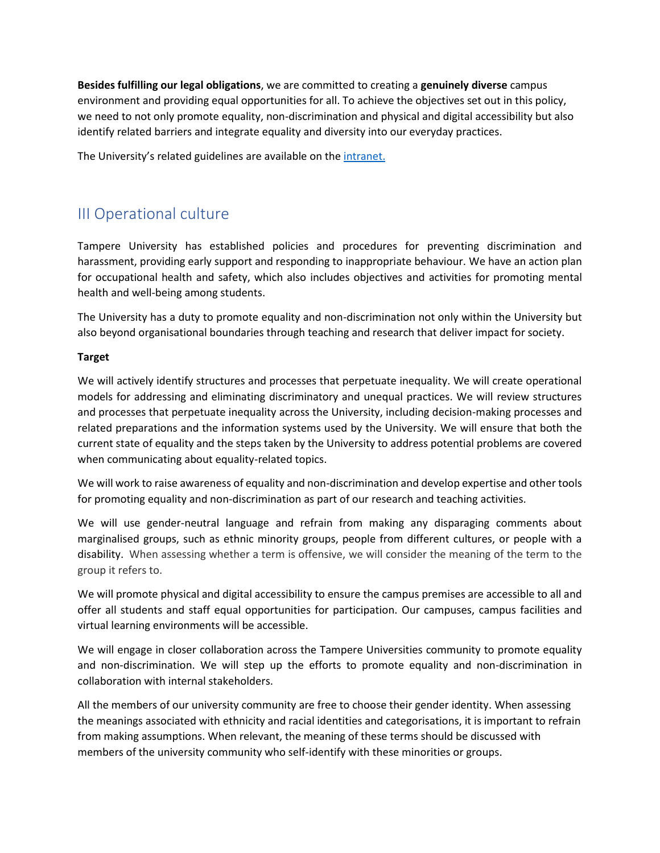**Besides fulfilling our legal obligations**, we are committed to creating a **genuinely diverse** campus environment and providing equal opportunities for all. To achieve the objectives set out in this policy, we need to not only promote equality, non-discrimination and physical and digital accessibility but also identify related barriers and integrate equality and diversity into our everyday practices.

<span id="page-4-0"></span>The University's related guidelines are available on th[e intranet.](https://intra.tuni.fi/en/handbook?page=2673&search=ep%C3%A4asiallinen)

## III Operational culture

Tampere University has established policies and procedures for preventing discrimination and harassment, providing early support and responding to inappropriate behaviour. We have an action plan for occupational health and safety, which also includes objectives and activities for promoting mental health and well-being among students.

The University has a duty to promote equality and non-discrimination not only within the University but also beyond organisational boundaries through teaching and research that deliver impact for society.

### **Target**

We will actively identify structures and processes that perpetuate inequality. We will create operational models for addressing and eliminating discriminatory and unequal practices. We will review structures and processes that perpetuate inequality across the University, including decision-making processes and related preparations and the information systems used by the University. We will ensure that both the current state of equality and the steps taken by the University to address potential problems are covered when communicating about equality-related topics.

We will work to raise awareness of equality and non-discrimination and develop expertise and other tools for promoting equality and non-discrimination as part of our research and teaching activities.

We will use gender-neutral language and refrain from making any disparaging comments about marginalised groups, such as ethnic minority groups, people from different cultures, or people with a disability. When assessing whether a term is offensive, we will consider the meaning of the term to the group it refers to.

We will promote physical and digital accessibility to ensure the campus premises are accessible to all and offer all students and staff equal opportunities for participation. Our campuses, campus facilities and virtual learning environments will be accessible.

We will engage in closer collaboration across the Tampere Universities community to promote equality and non-discrimination. We will step up the efforts to promote equality and non-discrimination in collaboration with internal stakeholders.

All the members of our university community are free to choose their gender identity. When assessing the meanings associated with ethnicity and racial identities and categorisations, it is important to refrain from making assumptions. When relevant, the meaning of these terms should be discussed with members of the university community who self-identify with these minorities or groups.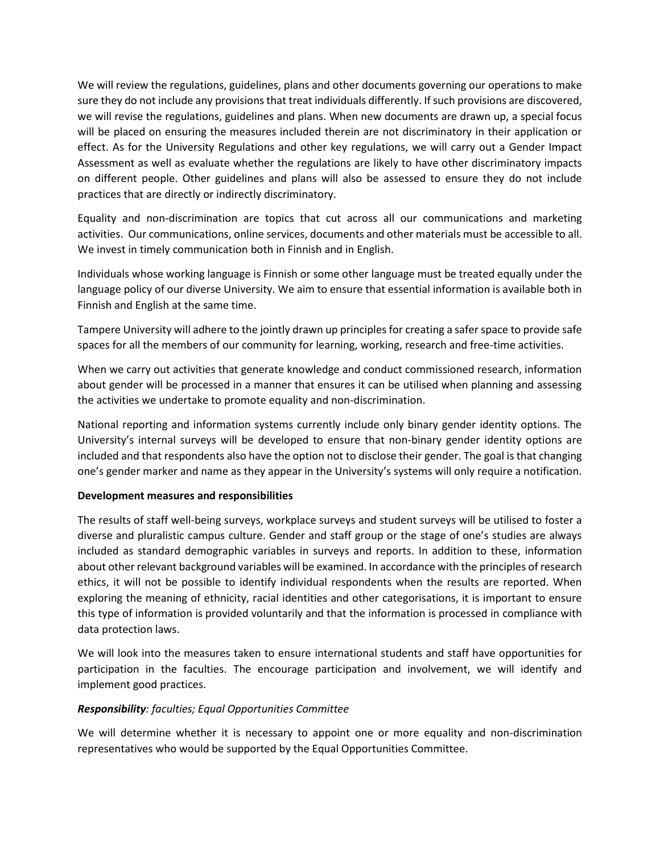We will review the regulations, guidelines, plans and other documents governing our operations to make sure they do not include any provisions that treat individuals differently. If such provisions are discovered, we will revise the regulations, guidelines and plans. When new documents are drawn up, a special focus will be placed on ensuring the measures included therein are not discriminatory in their application or effect. As for the University Regulations and other key regulations, we will carry out a Gender Impact Assessment as well as evaluate whether the regulations are likely to have other discriminatory impacts on different people. Other guidelines and plans will also be assessed to ensure they do not include practices that are directly or indirectly discriminatory.

Equality and non-discrimination are topics that cut across all our communications and marketing activities. Our communications, online services, documents and other materials must be accessible to all. We invest in timely communication both in Finnish and in English.

Individuals whose working language is Finnish or some other language must be treated equally under the language policy of our diverse University. We aim to ensure that essential information is available both in Finnish and English at the same time.

Tampere University will adhere to the jointly drawn up principles for creating a safer space to provide safe spaces for all the members of our community for learning, working, research and free-time activities.

When we carry out activities that generate knowledge and conduct commissioned research, information about gender will be processed in a manner that ensures it can be utilised when planning and assessing the activities we undertake to promote equality and non-discrimination.

National reporting and information systems currently include only binary gender identity options. The University's internal surveys will be developed to ensure that non-binary gender identity options are included and that respondents also have the option not to disclose their gender. The goal is that changing one's gender marker and name as they appear in the University's systems will only require a notification.

### **Development measures and responsibilities**

The results of staff well-being surveys, workplace surveys and student surveys will be utilised to foster a diverse and pluralistic campus culture. Gender and staff group or the stage of one's studies are always included as standard demographic variables in surveys and reports. In addition to these, information about other relevant background variables will be examined. In accordance with the principles of research ethics, it will not be possible to identify individual respondents when the results are reported. When exploring the meaning of ethnicity, racial identities and other categorisations, it is important to ensure this type of information is provided voluntarily and that the information is processed in compliance with data protection laws.

We will look into the measures taken to ensure international students and staff have opportunities for participation in the faculties. The encourage participation and involvement, we will identify and implement good practices.

### *Responsibility: faculties; Equal Opportunities Committee*

We will determine whether it is necessary to appoint one or more equality and non-discrimination representatives who would be supported by the Equal Opportunities Committee.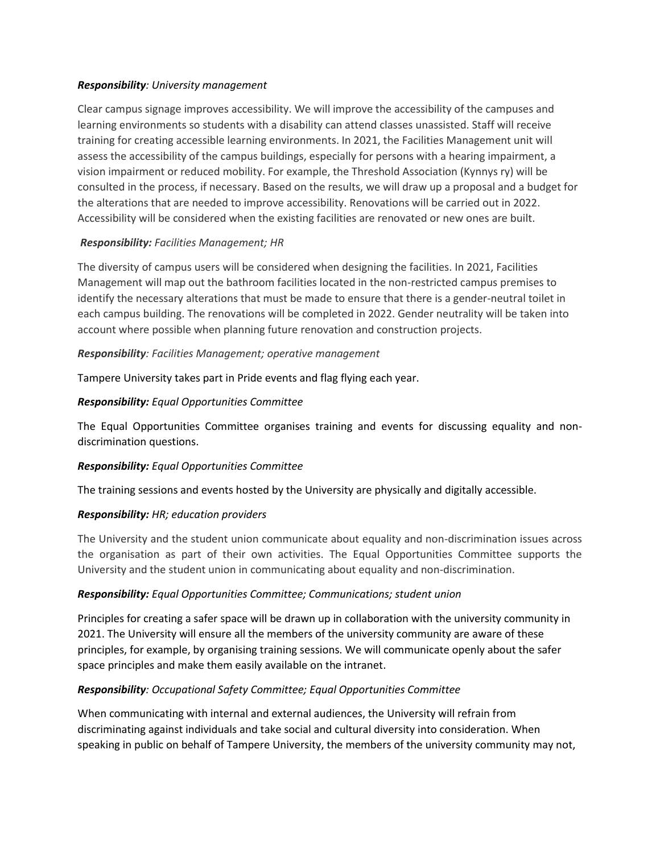### *Responsibility: University management*

Clear campus signage improves accessibility. We will improve the accessibility of the campuses and learning environments so students with a disability can attend classes unassisted. Staff will receive training for creating accessible learning environments. In 2021, the Facilities Management unit will assess the accessibility of the campus buildings, especially for persons with a hearing impairment, a vision impairment or reduced mobility. For example, the Threshold Association (Kynnys ry) will be consulted in the process, if necessary. Based on the results, we will draw up a proposal and a budget for the alterations that are needed to improve accessibility. Renovations will be carried out in 2022. Accessibility will be considered when the existing facilities are renovated or new ones are built.

### *Responsibility: Facilities Management; HR*

The diversity of campus users will be considered when designing the facilities. In 2021, Facilities Management will map out the bathroom facilities located in the non-restricted campus premises to identify the necessary alterations that must be made to ensure that there is a gender-neutral toilet in each campus building. The renovations will be completed in 2022. Gender neutrality will be taken into account where possible when planning future renovation and construction projects.

### *Responsibility: Facilities Management; operative management*

Tampere University takes part in Pride events and flag flying each year.

### *Responsibility: Equal Opportunities Committee*

The Equal Opportunities Committee organises training and events for discussing equality and nondiscrimination questions.

### *Responsibility: Equal Opportunities Committee*

The training sessions and events hosted by the University are physically and digitally accessible.

### *Responsibility: HR; education providers*

The University and the student union communicate about equality and non-discrimination issues across the organisation as part of their own activities. The Equal Opportunities Committee supports the University and the student union in communicating about equality and non-discrimination.

### *Responsibility: Equal Opportunities Committee; Communications; student union*

Principles for creating a safer space will be drawn up in collaboration with the university community in 2021. The University will ensure all the members of the university community are aware of these principles, for example, by organising training sessions. We will communicate openly about the safer space principles and make them easily available on the intranet.

### *Responsibility: Occupational Safety Committee; Equal Opportunities Committee*

When communicating with internal and external audiences, the University will refrain from discriminating against individuals and take social and cultural diversity into consideration. When speaking in public on behalf of Tampere University, the members of the university community may not,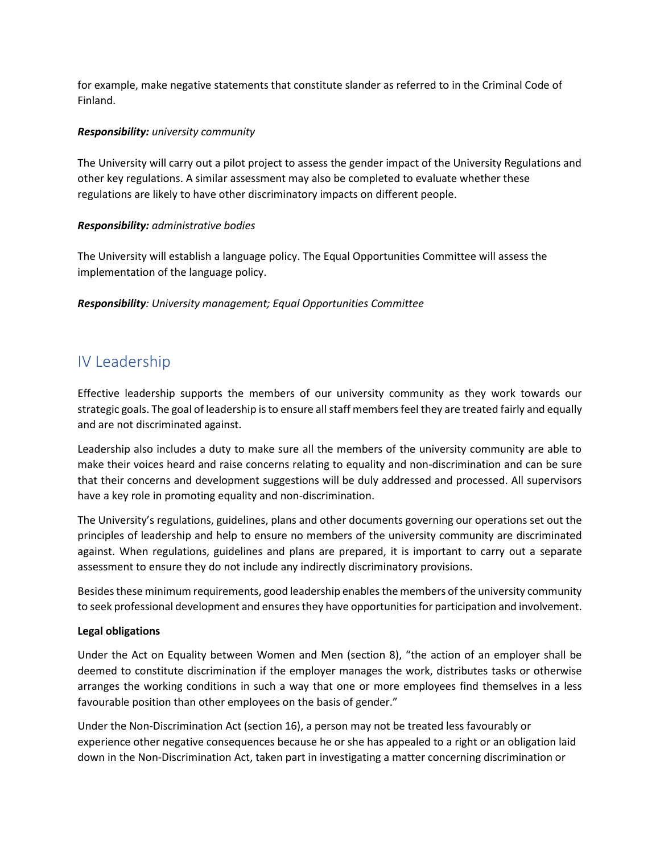for example, make negative statements that constitute slander as referred to in the Criminal Code of Finland.

#### *Responsibility: university community*

The University will carry out a pilot project to assess the gender impact of the University Regulations and other key regulations. A similar assessment may also be completed to evaluate whether these regulations are likely to have other discriminatory impacts on different people.

### *Responsibility: administrative bodies*

The University will establish a language policy. The Equal Opportunities Committee will assess the implementation of the language policy.

<span id="page-7-0"></span>*Responsibility: University management; Equal Opportunities Committee*

## IV Leadership

Effective leadership supports the members of our university community as they work towards our strategic goals. The goal of leadership is to ensure all staff members feel they are treated fairly and equally and are not discriminated against.

Leadership also includes a duty to make sure all the members of the university community are able to make their voices heard and raise concerns relating to equality and non-discrimination and can be sure that their concerns and development suggestions will be duly addressed and processed. All supervisors have a key role in promoting equality and non-discrimination.

The University's regulations, guidelines, plans and other documents governing our operations set out the principles of leadership and help to ensure no members of the university community are discriminated against. When regulations, guidelines and plans are prepared, it is important to carry out a separate assessment to ensure they do not include any indirectly discriminatory provisions.

Besides these minimum requirements, good leadership enables the members of the university community to seek professional development and ensures they have opportunities for participation and involvement.

### **Legal obligations**

Under the Act on Equality between Women and Men (section 8), "the action of an employer shall be deemed to constitute discrimination if the employer manages the work, distributes tasks or otherwise arranges the working conditions in such a way that one or more employees find themselves in a less favourable position than other employees on the basis of gender."

Under the Non-Discrimination Act (section 16), a person may not be treated less favourably or experience other negative consequences because he or she has appealed to a right or an obligation laid down in the Non-Discrimination Act, taken part in investigating a matter concerning discrimination or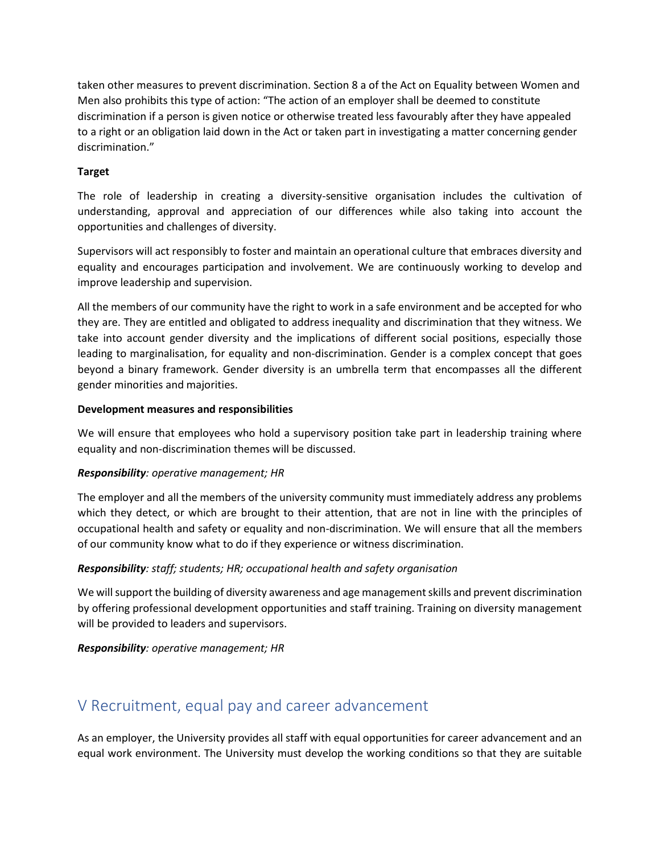taken other measures to prevent discrimination. Section 8 a of the Act on Equality between Women and Men also prohibits this type of action: "The action of an employer shall be deemed to constitute discrimination if a person is given notice or otherwise treated less favourably after they have appealed to a right or an obligation laid down in the Act or taken part in investigating a matter concerning gender discrimination."

### **Target**

The role of leadership in creating a diversity-sensitive organisation includes the cultivation of understanding, approval and appreciation of our differences while also taking into account the opportunities and challenges of diversity.

Supervisors will act responsibly to foster and maintain an operational culture that embraces diversity and equality and encourages participation and involvement. We are continuously working to develop and improve leadership and supervision.

All the members of our community have the right to work in a safe environment and be accepted for who they are. They are entitled and obligated to address inequality and discrimination that they witness. We take into account gender diversity and the implications of different social positions, especially those leading to marginalisation, for equality and non-discrimination. Gender is a complex concept that goes beyond a binary framework. Gender diversity is an umbrella term that encompasses all the different gender minorities and majorities.

### **Development measures and responsibilities**

We will ensure that employees who hold a supervisory position take part in leadership training where equality and non-discrimination themes will be discussed.

### *Responsibility: operative management; HR*

The employer and all the members of the university community must immediately address any problems which they detect, or which are brought to their attention, that are not in line with the principles of occupational health and safety or equality and non-discrimination. We will ensure that all the members of our community know what to do if they experience or witness discrimination.

### *Responsibility: staff; students; HR; occupational health and safety organisation*

We will support the building of diversity awareness and age management skills and prevent discrimination by offering professional development opportunities and staff training. Training on diversity management will be provided to leaders and supervisors.

<span id="page-8-0"></span>*Responsibility: operative management; HR*

## V Recruitment, equal pay and career advancement

As an employer, the University provides all staff with equal opportunities for career advancement and an equal work environment. The University must develop the working conditions so that they are suitable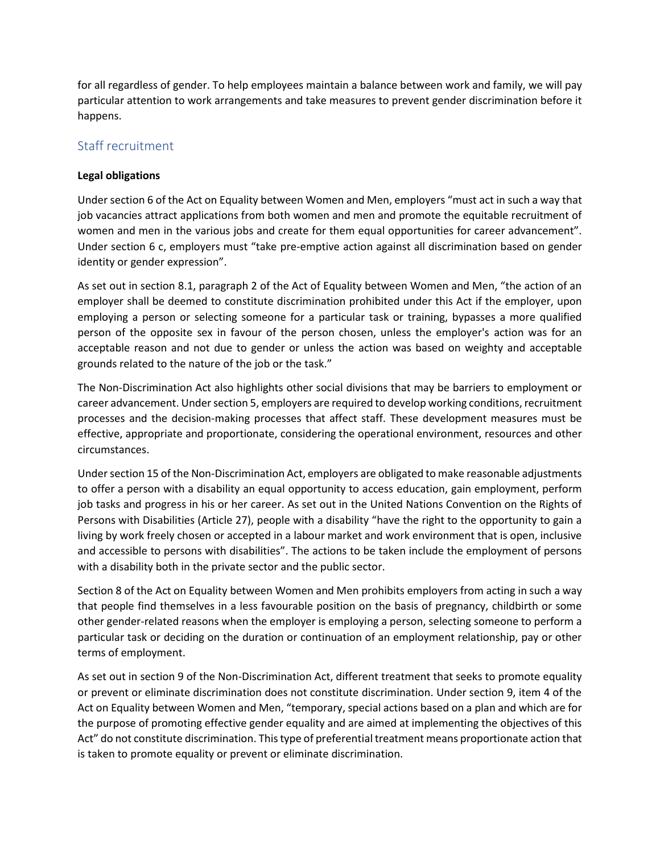for all regardless of gender. To help employees maintain a balance between work and family, we will pay particular attention to work arrangements and take measures to prevent gender discrimination before it happens.

### Staff recruitment

### **Legal obligations**

Under section 6 of the Act on Equality between Women and Men, employers "must act in such a way that job vacancies attract applications from both women and men and promote the equitable recruitment of women and men in the various jobs and create for them equal opportunities for career advancement". Under section 6 c, employers must "take pre-emptive action against all discrimination based on gender identity or gender expression".

As set out in section 8.1, paragraph 2 of the Act of Equality between Women and Men, "the action of an employer shall be deemed to constitute discrimination prohibited under this Act if the employer, upon employing a person or selecting someone for a particular task or training, bypasses a more qualified person of the opposite sex in favour of the person chosen, unless the employer's action was for an acceptable reason and not due to gender or unless the action was based on weighty and acceptable grounds related to the nature of the job or the task."

The Non-Discrimination Act also highlights other social divisions that may be barriers to employment or career advancement. Under section 5, employers are required to develop working conditions, recruitment processes and the decision-making processes that affect staff. These development measures must be effective, appropriate and proportionate, considering the operational environment, resources and other circumstances.

Under section 15 of the Non-Discrimination Act, employers are obligated to make reasonable adjustments to offer a person with a disability an equal opportunity to access education, gain employment, perform job tasks and progress in his or her career. As set out in the United Nations Convention on the Rights of Persons with Disabilities (Article 27), people with a disability "have the right to the opportunity to gain a living by work freely chosen or accepted in a labour market and work environment that is open, inclusive and accessible to persons with disabilities". The actions to be taken include the employment of persons with a disability both in the private sector and the public sector.

Section 8 of the Act on Equality between Women and Men prohibits employers from acting in such a way that people find themselves in a less favourable position on the basis of pregnancy, childbirth or some other gender-related reasons when the employer is employing a person, selecting someone to perform a particular task or deciding on the duration or continuation of an employment relationship, pay or other terms of employment.

As set out in section 9 of the Non-Discrimination Act, different treatment that seeks to promote equality or prevent or eliminate discrimination does not constitute discrimination. Under section 9, item 4 of the Act on Equality between Women and Men, "temporary, special actions based on a plan and which are for the purpose of promoting effective gender equality and are aimed at implementing the objectives of this Act" do not constitute discrimination. This type of preferential treatment means proportionate action that is taken to promote equality or prevent or eliminate discrimination.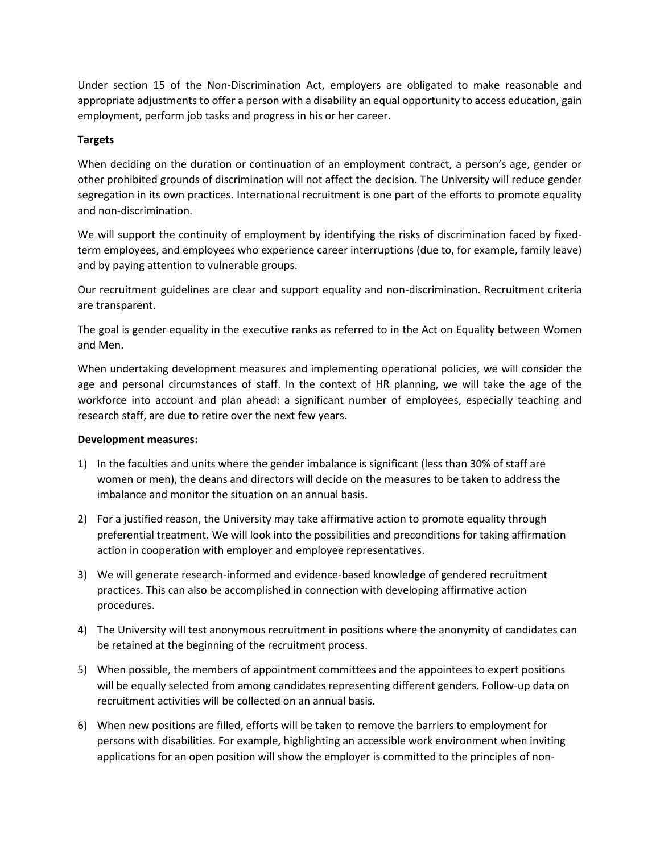Under section 15 of the Non-Discrimination Act, employers are obligated to make reasonable and appropriate adjustments to offer a person with a disability an equal opportunity to access education, gain employment, perform job tasks and progress in his or her career.

### **Targets**

When deciding on the duration or continuation of an employment contract, a person's age, gender or other prohibited grounds of discrimination will not affect the decision. The University will reduce gender segregation in its own practices. International recruitment is one part of the efforts to promote equality and non-discrimination.

We will support the continuity of employment by identifying the risks of discrimination faced by fixedterm employees, and employees who experience career interruptions (due to, for example, family leave) and by paying attention to vulnerable groups.

Our recruitment guidelines are clear and support equality and non-discrimination. Recruitment criteria are transparent.

The goal is gender equality in the executive ranks as referred to in the Act on Equality between Women and Men.

When undertaking development measures and implementing operational policies, we will consider the age and personal circumstances of staff. In the context of HR planning, we will take the age of the workforce into account and plan ahead: a significant number of employees, especially teaching and research staff, are due to retire over the next few years.

### **Development measures:**

- 1) In the faculties and units where the gender imbalance is significant (less than 30% of staff are women or men), the deans and directors will decide on the measures to be taken to address the imbalance and monitor the situation on an annual basis.
- 2) For a justified reason, the University may take affirmative action to promote equality through preferential treatment. We will look into the possibilities and preconditions for taking affirmation action in cooperation with employer and employee representatives.
- 3) We will generate research-informed and evidence-based knowledge of gendered recruitment practices. This can also be accomplished in connection with developing affirmative action procedures.
- 4) The University will test anonymous recruitment in positions where the anonymity of candidates can be retained at the beginning of the recruitment process.
- 5) When possible, the members of appointment committees and the appointees to expert positions will be equally selected from among candidates representing different genders. Follow-up data on recruitment activities will be collected on an annual basis.
- 6) When new positions are filled, efforts will be taken to remove the barriers to employment for persons with disabilities. For example, highlighting an accessible work environment when inviting applications for an open position will show the employer is committed to the principles of non-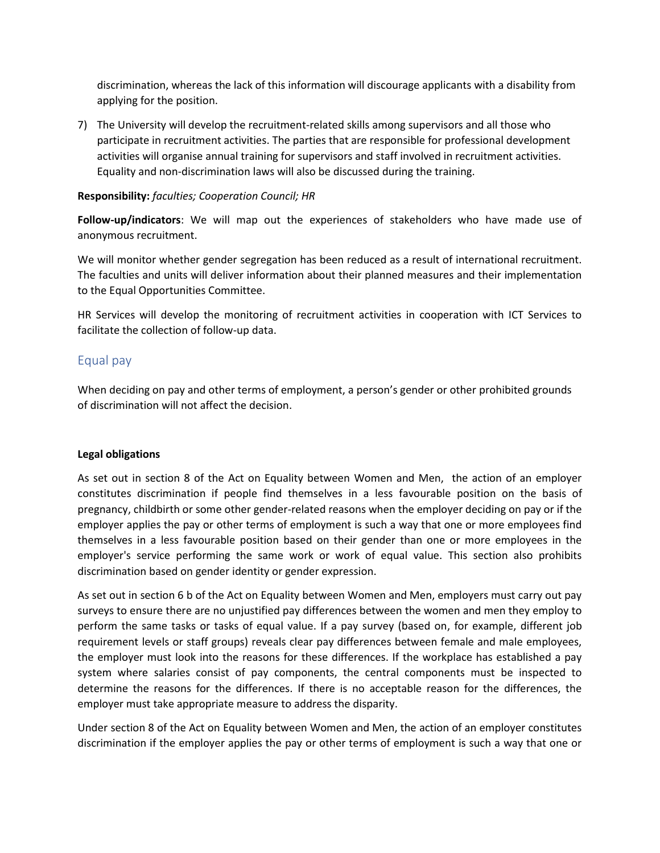discrimination, whereas the lack of this information will discourage applicants with a disability from applying for the position.

7) The University will develop the recruitment-related skills among supervisors and all those who participate in recruitment activities. The parties that are responsible for professional development activities will organise annual training for supervisors and staff involved in recruitment activities. Equality and non-discrimination laws will also be discussed during the training.

### **Responsibility:** *faculties; Cooperation Council; HR*

**Follow-up/indicators**: We will map out the experiences of stakeholders who have made use of anonymous recruitment.

We will monitor whether gender segregation has been reduced as a result of international recruitment. The faculties and units will deliver information about their planned measures and their implementation to the Equal Opportunities Committee.

HR Services will develop the monitoring of recruitment activities in cooperation with ICT Services to facilitate the collection of follow-up data.

### Equal pay

When deciding on pay and other terms of employment, a person's gender or other prohibited grounds of discrimination will not affect the decision.

#### **Legal obligations**

As set out in section 8 of the Act on Equality between Women and Men, the action of an employer constitutes discrimination if people find themselves in a less favourable position on the basis of pregnancy, childbirth or some other gender-related reasons when the employer deciding on pay or if the employer applies the pay or other terms of employment is such a way that one or more employees find themselves in a less favourable position based on their gender than one or more employees in the employer's service performing the same work or work of equal value. This section also prohibits discrimination based on gender identity or gender expression.

As set out in section 6 b of the Act on Equality between Women and Men, employers must carry out pay surveys to ensure there are no unjustified pay differences between the women and men they employ to perform the same tasks or tasks of equal value. If a pay survey (based on, for example, different job requirement levels or staff groups) reveals clear pay differences between female and male employees, the employer must look into the reasons for these differences. If the workplace has established a pay system where salaries consist of pay components, the central components must be inspected to determine the reasons for the differences. If there is no acceptable reason for the differences, the employer must take appropriate measure to address the disparity.

Under section 8 of the Act on Equality between Women and Men, the action of an employer constitutes discrimination if the employer applies the pay or other terms of employment is such a way that one or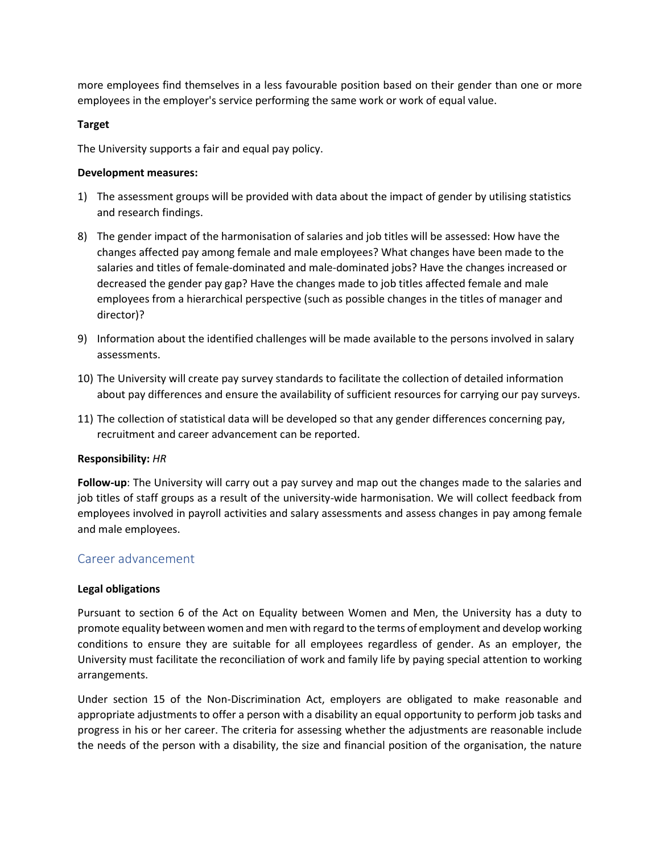more employees find themselves in a less favourable position based on their gender than one or more employees in the employer's service performing the same work or work of equal value.

### **Target**

The University supports a fair and equal pay policy.

### **Development measures:**

- 1) The assessment groups will be provided with data about the impact of gender by utilising statistics and research findings.
- 8) The gender impact of the harmonisation of salaries and job titles will be assessed: How have the changes affected pay among female and male employees? What changes have been made to the salaries and titles of female-dominated and male-dominated jobs? Have the changes increased or decreased the gender pay gap? Have the changes made to job titles affected female and male employees from a hierarchical perspective (such as possible changes in the titles of manager and director)?
- 9) Information about the identified challenges will be made available to the persons involved in salary assessments.
- 10) The University will create pay survey standards to facilitate the collection of detailed information about pay differences and ensure the availability of sufficient resources for carrying our pay surveys.
- 11) The collection of statistical data will be developed so that any gender differences concerning pay, recruitment and career advancement can be reported.

### **Responsibility:** *HR*

**Follow-up**: The University will carry out a pay survey and map out the changes made to the salaries and job titles of staff groups as a result of the university-wide harmonisation. We will collect feedback from employees involved in payroll activities and salary assessments and assess changes in pay among female and male employees.

### Career advancement

### **Legal obligations**

Pursuant to section 6 of the Act on Equality between Women and Men, the University has a duty to promote equality between women and men with regard to the terms of employment and develop working conditions to ensure they are suitable for all employees regardless of gender. As an employer, the University must facilitate the reconciliation of work and family life by paying special attention to working arrangements.

Under section 15 of the Non-Discrimination Act, employers are obligated to make reasonable and appropriate adjustments to offer a person with a disability an equal opportunity to perform job tasks and progress in his or her career. The criteria for assessing whether the adjustments are reasonable include the needs of the person with a disability, the size and financial position of the organisation, the nature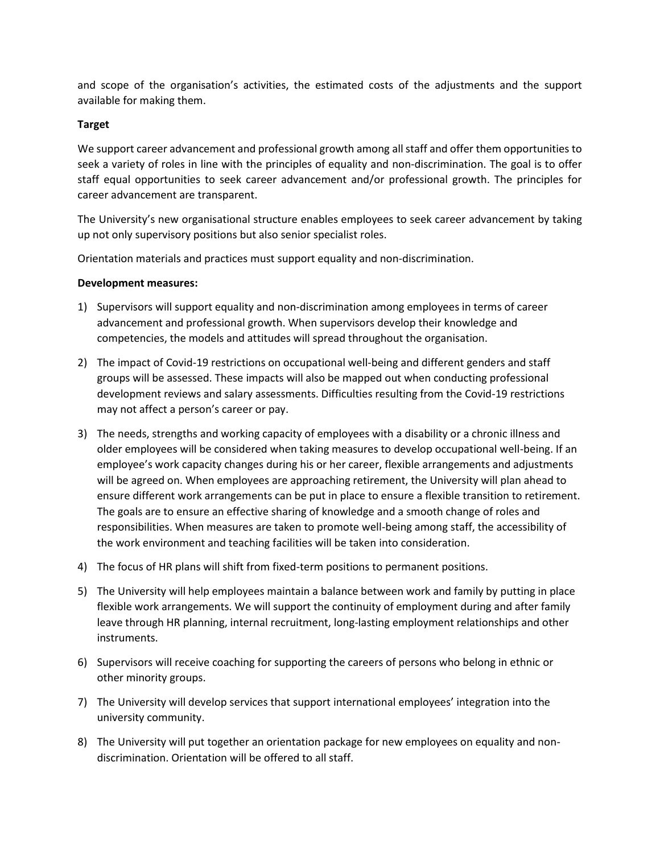and scope of the organisation's activities, the estimated costs of the adjustments and the support available for making them.

### **Target**

We support career advancement and professional growth among all staff and offer them opportunities to seek a variety of roles in line with the principles of equality and non-discrimination. The goal is to offer staff equal opportunities to seek career advancement and/or professional growth. The principles for career advancement are transparent.

The University's new organisational structure enables employees to seek career advancement by taking up not only supervisory positions but also senior specialist roles.

Orientation materials and practices must support equality and non-discrimination.

### **Development measures:**

- 1) Supervisors will support equality and non-discrimination among employees in terms of career advancement and professional growth. When supervisors develop their knowledge and competencies, the models and attitudes will spread throughout the organisation.
- 2) The impact of Covid-19 restrictions on occupational well-being and different genders and staff groups will be assessed. These impacts will also be mapped out when conducting professional development reviews and salary assessments. Difficulties resulting from the Covid-19 restrictions may not affect a person's career or pay.
- 3) The needs, strengths and working capacity of employees with a disability or a chronic illness and older employees will be considered when taking measures to develop occupational well-being. If an employee's work capacity changes during his or her career, flexible arrangements and adjustments will be agreed on. When employees are approaching retirement, the University will plan ahead to ensure different work arrangements can be put in place to ensure a flexible transition to retirement. The goals are to ensure an effective sharing of knowledge and a smooth change of roles and responsibilities. When measures are taken to promote well-being among staff, the accessibility of the work environment and teaching facilities will be taken into consideration.
- 4) The focus of HR plans will shift from fixed-term positions to permanent positions.
- 5) The University will help employees maintain a balance between work and family by putting in place flexible work arrangements. We will support the continuity of employment during and after family leave through HR planning, internal recruitment, long-lasting employment relationships and other instruments.
- 6) Supervisors will receive coaching for supporting the careers of persons who belong in ethnic or other minority groups.
- 7) The University will develop services that support international employees' integration into the university community.
- 8) The University will put together an orientation package for new employees on equality and nondiscrimination. Orientation will be offered to all staff.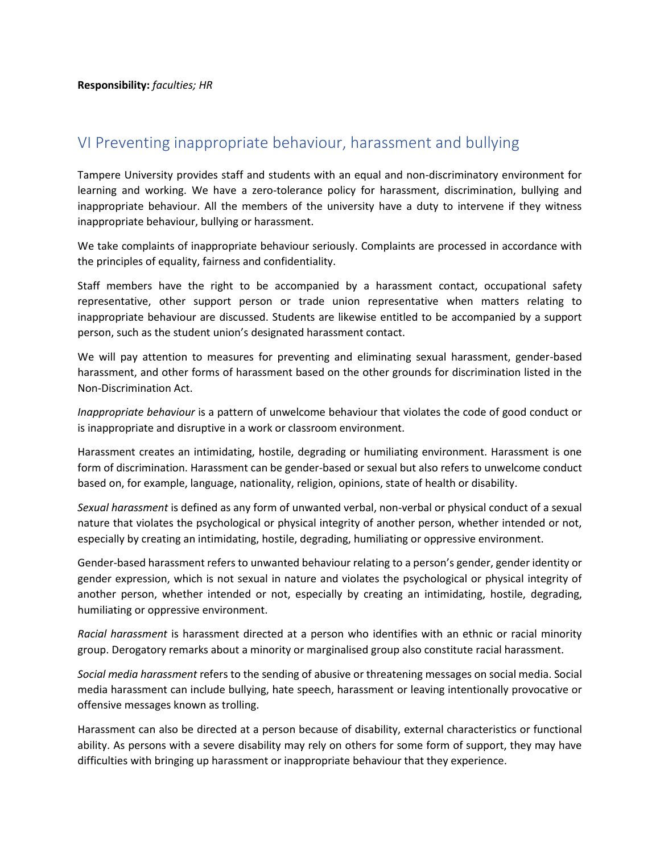## <span id="page-14-0"></span>VI Preventing inappropriate behaviour, harassment and bullying

Tampere University provides staff and students with an equal and non-discriminatory environment for learning and working. We have a zero-tolerance policy for harassment, discrimination, bullying and inappropriate behaviour. All the members of the university have a duty to intervene if they witness inappropriate behaviour, bullying or harassment.

We take complaints of inappropriate behaviour seriously. Complaints are processed in accordance with the principles of equality, fairness and confidentiality.

Staff members have the right to be accompanied by a harassment contact, occupational safety representative, other support person or trade union representative when matters relating to inappropriate behaviour are discussed. Students are likewise entitled to be accompanied by a support person, such as the student union's designated harassment contact.

We will pay attention to measures for preventing and eliminating sexual harassment, gender-based harassment, and other forms of harassment based on the other grounds for discrimination listed in the Non-Discrimination Act.

*Inappropriate behaviour* is a pattern of unwelcome behaviour that violates the code of good conduct or is inappropriate and disruptive in a work or classroom environment.

Harassment creates an intimidating, hostile, degrading or humiliating environment. Harassment is one form of discrimination. Harassment can be gender-based or sexual but also refers to unwelcome conduct based on, for example, language, nationality, religion, opinions, state of health or disability.

*Sexual harassment* is defined as any form of unwanted verbal, non-verbal or physical conduct of a sexual nature that violates the psychological or physical integrity of another person, whether intended or not, especially by creating an intimidating, hostile, degrading, humiliating or oppressive environment.

Gender-based harassment refers to unwanted behaviour relating to a person's gender, gender identity or gender expression, which is not sexual in nature and violates the psychological or physical integrity of another person, whether intended or not, especially by creating an intimidating, hostile, degrading, humiliating or oppressive environment.

*Racial harassment* is harassment directed at a person who identifies with an ethnic or racial minority group. Derogatory remarks about a minority or marginalised group also constitute racial harassment.

*Social media harassment* refers to the sending of abusive or threatening messages on social media. Social media harassment can include bullying, hate speech, harassment or leaving intentionally provocative or offensive messages known as trolling.

Harassment can also be directed at a person because of disability, external characteristics or functional ability. As persons with a severe disability may rely on others for some form of support, they may have difficulties with bringing up harassment or inappropriate behaviour that they experience.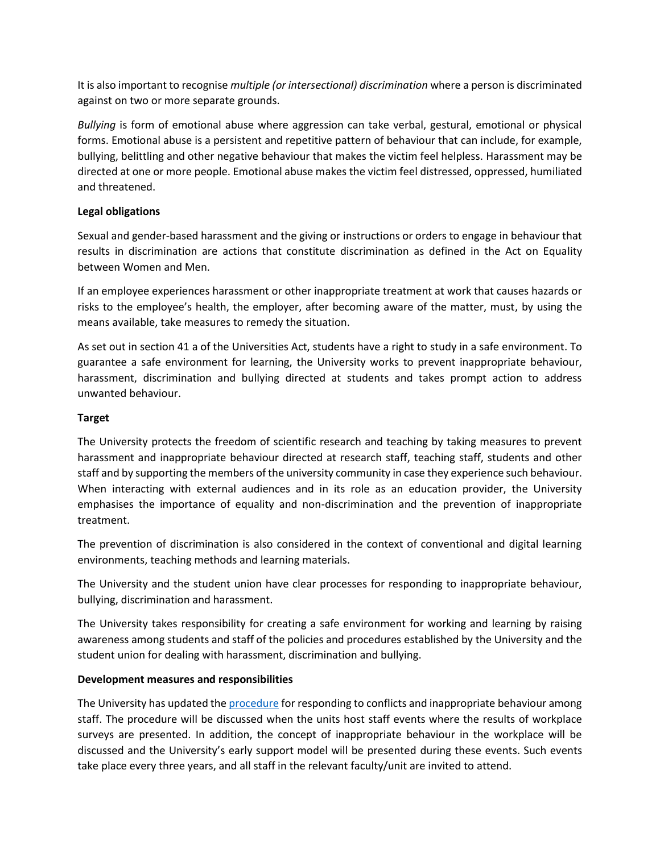It is also important to recognise *multiple (or intersectional) discrimination* where a person is discriminated against on two or more separate grounds.

*Bullying* is form of emotional abuse where aggression can take verbal, gestural, emotional or physical forms. Emotional abuse is a persistent and repetitive pattern of behaviour that can include, for example, bullying, belittling and other negative behaviour that makes the victim feel helpless. Harassment may be directed at one or more people. Emotional abuse makes the victim feel distressed, oppressed, humiliated and threatened.

### **Legal obligations**

Sexual and gender-based harassment and the giving or instructions or orders to engage in behaviour that results in discrimination are actions that constitute discrimination as defined in the Act on Equality between Women and Men.

If an employee experiences harassment or other inappropriate treatment at work that causes hazards or risks to the employee's health, the employer, after becoming aware of the matter, must, by using the means available, take measures to remedy the situation.

As set out in section 41 a of the Universities Act, students have a right to study in a safe environment. To guarantee a safe environment for learning, the University works to prevent inappropriate behaviour, harassment, discrimination and bullying directed at students and takes prompt action to address unwanted behaviour.

### **Target**

The University protects the freedom of scientific research and teaching by taking measures to prevent harassment and inappropriate behaviour directed at research staff, teaching staff, students and other staff and by supporting the members of the university community in case they experience such behaviour. When interacting with external audiences and in its role as an education provider, the University emphasises the importance of equality and non-discrimination and the prevention of inappropriate treatment.

The prevention of discrimination is also considered in the context of conventional and digital learning environments, teaching methods and learning materials.

The University and the student union have clear processes for responding to inappropriate behaviour, bullying, discrimination and harassment.

The University takes responsibility for creating a safe environment for working and learning by raising awareness among students and staff of the policies and procedures established by the University and the student union for dealing with harassment, discrimination and bullying.

### **Development measures and responsibilities**

The University has updated th[e procedure](https://intra.tuni.fi/en/handbook?page=2673) for responding to conflicts and inappropriate behaviour among staff. The procedure will be discussed when the units host staff events where the results of workplace surveys are presented. In addition, the concept of inappropriate behaviour in the workplace will be discussed and the University's early support model will be presented during these events. Such events take place every three years, and all staff in the relevant faculty/unit are invited to attend.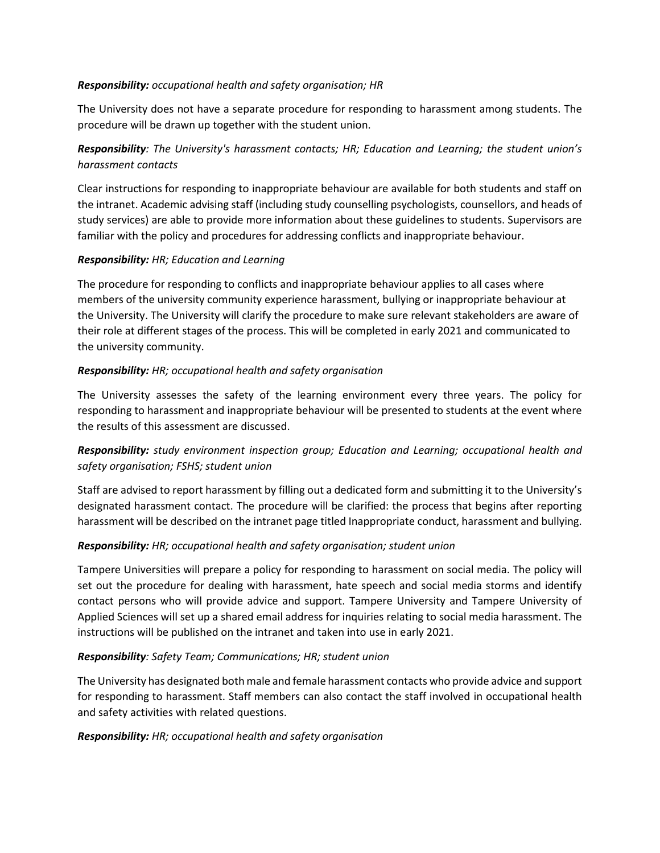### *Responsibility: occupational health and safety organisation; HR*

The University does not have a separate procedure for responding to harassment among students. The procedure will be drawn up together with the student union.

### *Responsibility: The University's harassment contacts; HR; Education and Learning; the student union's harassment contacts*

Clear instructions for responding to inappropriate behaviour are available for both students and staff on the intranet. Academic advising staff (including study counselling psychologists, counsellors, and heads of study services) are able to provide more information about these guidelines to students. Supervisors are familiar with the policy and procedures for addressing conflicts and inappropriate behaviour.

### *Responsibility: HR; Education and Learning*

The procedure for responding to conflicts and inappropriate behaviour applies to all cases where members of the university community experience harassment, bullying or inappropriate behaviour at the University. The University will clarify the procedure to make sure relevant stakeholders are aware of their role at different stages of the process. This will be completed in early 2021 and communicated to the university community.

### *Responsibility: HR; occupational health and safety organisation*

The University assesses the safety of the learning environment every three years. The policy for responding to harassment and inappropriate behaviour will be presented to students at the event where the results of this assessment are discussed.

### *Responsibility: study environment inspection group; Education and Learning; occupational health and safety organisation; FSHS; student union*

Staff are advised to report harassment by filling out a dedicated form and submitting it to the University's designated harassment contact. The procedure will be clarified: the process that begins after reporting harassment will be described on the intranet page titled Inappropriate conduct, harassment and bullying.

### *Responsibility: HR; occupational health and safety organisation; student union*

Tampere Universities will prepare a policy for responding to harassment on social media. The policy will set out the procedure for dealing with harassment, hate speech and social media storms and identify contact persons who will provide advice and support. Tampere University and Tampere University of Applied Sciences will set up a shared email address for inquiries relating to social media harassment. The instructions will be published on the intranet and taken into use in early 2021.

### *Responsibility: Safety Team; Communications; HR; student union*

The University has designated both male and female harassment contacts who provide advice and support for responding to harassment. Staff members can also contact the staff involved in occupational health and safety activities with related questions.

### *Responsibility: HR; occupational health and safety organisation*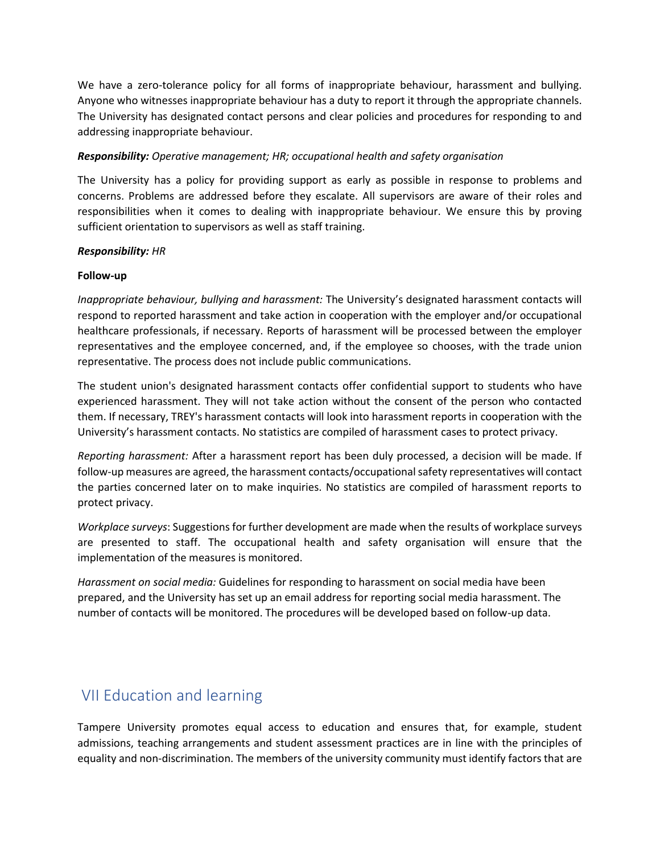We have a zero-tolerance policy for all forms of inappropriate behaviour, harassment and bullying. Anyone who witnesses inappropriate behaviour has a duty to report it through the appropriate channels. The University has designated contact persons and clear policies and procedures for responding to and addressing inappropriate behaviour.

### *Responsibility: Operative management; HR; occupational health and safety organisation*

The University has a policy for providing support as early as possible in response to problems and concerns. Problems are addressed before they escalate. All supervisors are aware of their roles and responsibilities when it comes to dealing with inappropriate behaviour. We ensure this by proving sufficient orientation to supervisors as well as staff training.

#### *Responsibility: HR*

#### **Follow-up**

*Inappropriate behaviour, bullying and harassment:* The University's designated harassment contacts will respond to reported harassment and take action in cooperation with the employer and/or occupational healthcare professionals, if necessary. Reports of harassment will be processed between the employer representatives and the employee concerned, and, if the employee so chooses, with the trade union representative. The process does not include public communications.

The student union's designated harassment contacts offer confidential support to students who have experienced harassment. They will not take action without the consent of the person who contacted them. If necessary, TREY's harassment contacts will look into harassment reports in cooperation with the University's harassment contacts. No statistics are compiled of harassment cases to protect privacy.

*Reporting harassment:* After a harassment report has been duly processed, a decision will be made. If follow-up measures are agreed, the harassment contacts/occupational safety representatives will contact the parties concerned later on to make inquiries. No statistics are compiled of harassment reports to protect privacy.

*Workplace surveys*: Suggestions for further development are made when the results of workplace surveys are presented to staff. The occupational health and safety organisation will ensure that the implementation of the measures is monitored.

*Harassment on social media:* Guidelines for responding to harassment on social media have been prepared, and the University has set up an email address for reporting social media harassment. The number of contacts will be monitored. The procedures will be developed based on follow-up data.

## <span id="page-17-0"></span>VII Education and learning

Tampere University promotes equal access to education and ensures that, for example, student admissions, teaching arrangements and student assessment practices are in line with the principles of equality and non-discrimination. The members of the university community must identify factors that are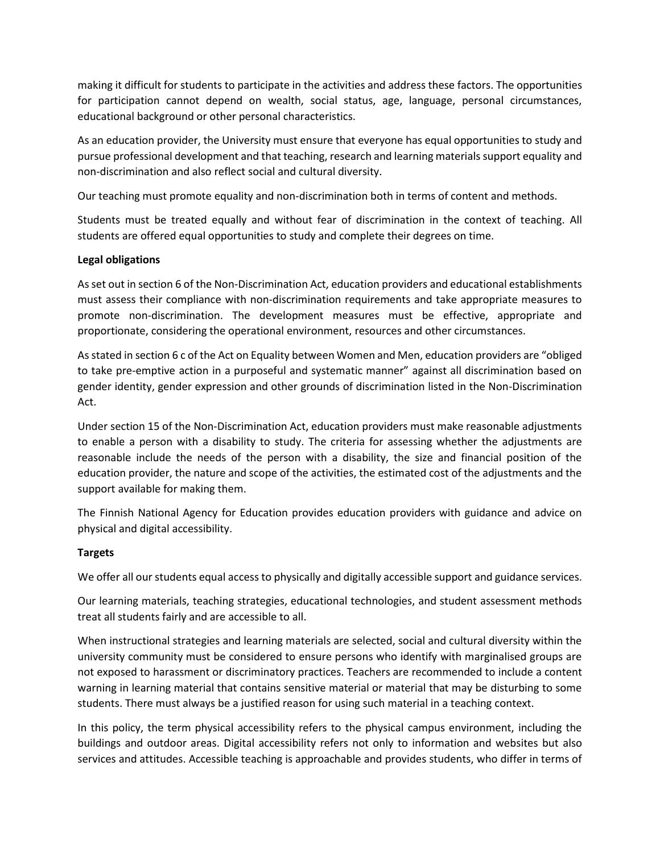making it difficult for students to participate in the activities and address these factors. The opportunities for participation cannot depend on wealth, social status, age, language, personal circumstances, educational background or other personal characteristics.

As an education provider, the University must ensure that everyone has equal opportunities to study and pursue professional development and that teaching, research and learning materials support equality and non-discrimination and also reflect social and cultural diversity.

Our teaching must promote equality and non-discrimination both in terms of content and methods.

Students must be treated equally and without fear of discrimination in the context of teaching. All students are offered equal opportunities to study and complete their degrees on time.

### **Legal obligations**

As set out in section 6 of the Non-Discrimination Act, education providers and educational establishments must assess their compliance with non-discrimination requirements and take appropriate measures to promote non-discrimination. The development measures must be effective, appropriate and proportionate, considering the operational environment, resources and other circumstances.

As stated in section 6 c of the Act on Equality between Women and Men, education providers are "obliged to take pre-emptive action in a purposeful and systematic manner" against all discrimination based on gender identity, gender expression and other grounds of discrimination listed in the Non-Discrimination Act.

Under section 15 of the Non-Discrimination Act, education providers must make reasonable adjustments to enable a person with a disability to study. The criteria for assessing whether the adjustments are reasonable include the needs of the person with a disability, the size and financial position of the education provider, the nature and scope of the activities, the estimated cost of the adjustments and the support available for making them.

The Finnish National Agency for Education provides education providers with guidance and advice on physical and digital accessibility.

### **Targets**

We offer all our students equal access to physically and digitally accessible support and guidance services.

Our learning materials, teaching strategies, educational technologies, and student assessment methods treat all students fairly and are accessible to all.

When instructional strategies and learning materials are selected, social and cultural diversity within the university community must be considered to ensure persons who identify with marginalised groups are not exposed to harassment or discriminatory practices. Teachers are recommended to include a content warning in learning material that contains sensitive material or material that may be disturbing to some students. There must always be a justified reason for using such material in a teaching context.

In this policy, the term physical accessibility refers to the physical campus environment, including the buildings and outdoor areas. Digital accessibility refers not only to information and websites but also services and attitudes. Accessible teaching is approachable and provides students, who differ in terms of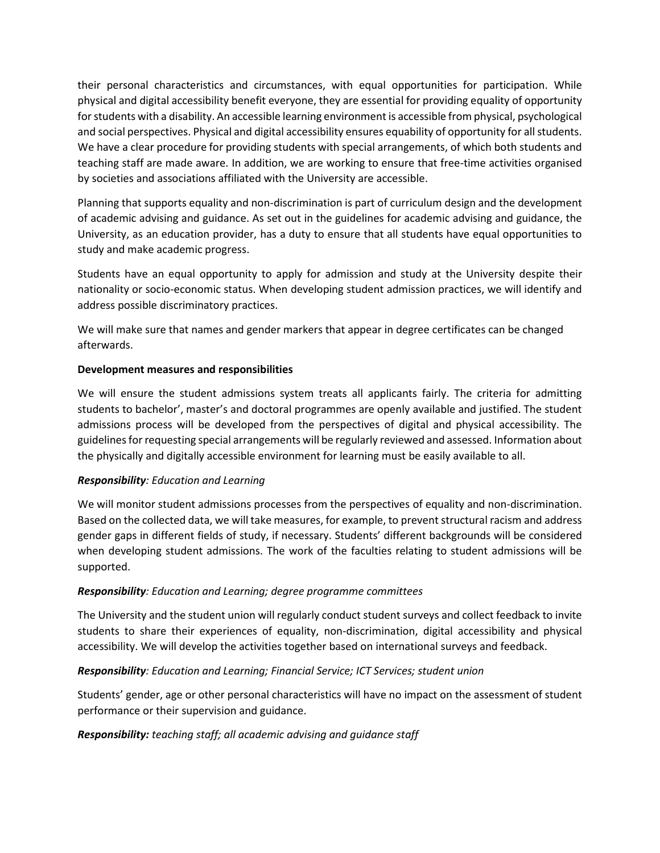their personal characteristics and circumstances, with equal opportunities for participation. While physical and digital accessibility benefit everyone, they are essential for providing equality of opportunity for students with a disability. An accessible learning environment is accessible from physical, psychological and social perspectives. Physical and digital accessibility ensures equability of opportunity for all students. We have a clear procedure for providing students with special arrangements, of which both students and teaching staff are made aware. In addition, we are working to ensure that free-time activities organised by societies and associations affiliated with the University are accessible.

Planning that supports equality and non-discrimination is part of curriculum design and the development of academic advising and guidance. As set out in the guidelines for academic advising and guidance, the University, as an education provider, has a duty to ensure that all students have equal opportunities to study and make academic progress.

Students have an equal opportunity to apply for admission and study at the University despite their nationality or socio-economic status. When developing student admission practices, we will identify and address possible discriminatory practices.

We will make sure that names and gender markers that appear in degree certificates can be changed afterwards.

### **Development measures and responsibilities**

We will ensure the student admissions system treats all applicants fairly. The criteria for admitting students to bachelor', master's and doctoral programmes are openly available and justified. The student admissions process will be developed from the perspectives of digital and physical accessibility. The guidelines for requesting special arrangements will be regularly reviewed and assessed. Information about the physically and digitally accessible environment for learning must be easily available to all.

### *Responsibility: Education and Learning*

We will monitor student admissions processes from the perspectives of equality and non-discrimination. Based on the collected data, we will take measures, for example, to prevent structural racism and address gender gaps in different fields of study, if necessary. Students' different backgrounds will be considered when developing student admissions. The work of the faculties relating to student admissions will be supported.

### *Responsibility: Education and Learning; degree programme committees*

The University and the student union will regularly conduct student surveys and collect feedback to invite students to share their experiences of equality, non-discrimination, digital accessibility and physical accessibility. We will develop the activities together based on international surveys and feedback.

### *Responsibility: Education and Learning; Financial Service; ICT Services; student union*

Students' gender, age or other personal characteristics will have no impact on the assessment of student performance or their supervision and guidance.

### *Responsibility: teaching staff; all academic advising and guidance staff*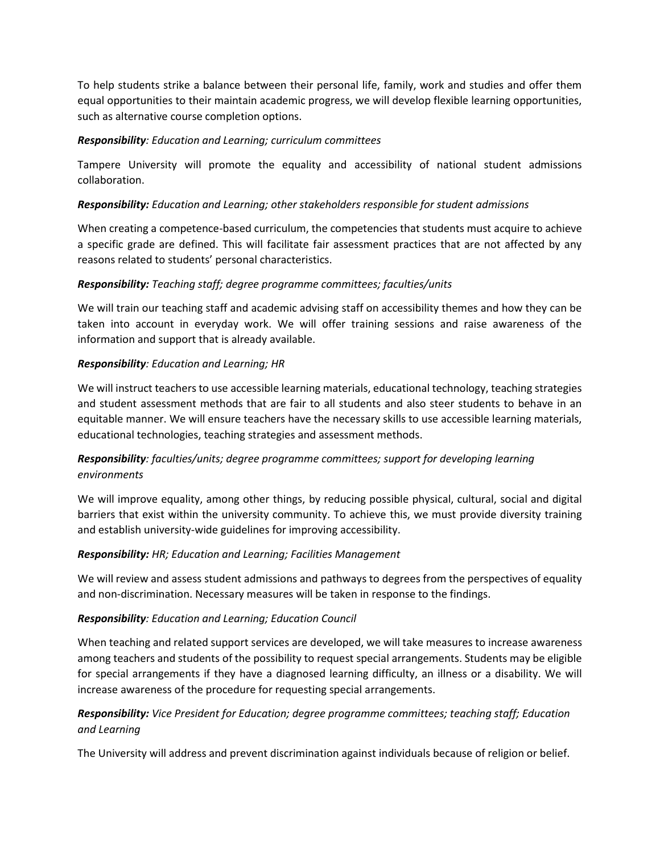To help students strike a balance between their personal life, family, work and studies and offer them equal opportunities to their maintain academic progress, we will develop flexible learning opportunities, such as alternative course completion options.

### *Responsibility: Education and Learning; curriculum committees*

Tampere University will promote the equality and accessibility of national student admissions collaboration.

### *Responsibility: Education and Learning; other stakeholders responsible for student admissions*

When creating a competence-based curriculum, the competencies that students must acquire to achieve a specific grade are defined. This will facilitate fair assessment practices that are not affected by any reasons related to students' personal characteristics.

### *Responsibility: Teaching staff; degree programme committees; faculties/units*

We will train our teaching staff and academic advising staff on accessibility themes and how they can be taken into account in everyday work. We will offer training sessions and raise awareness of the information and support that is already available.

### *Responsibility: Education and Learning; HR*

We will instruct teachers to use accessible learning materials, educational technology, teaching strategies and student assessment methods that are fair to all students and also steer students to behave in an equitable manner. We will ensure teachers have the necessary skills to use accessible learning materials, educational technologies, teaching strategies and assessment methods.

### *Responsibility: faculties/units; degree programme committees; support for developing learning environments*

We will improve equality, among other things, by reducing possible physical, cultural, social and digital barriers that exist within the university community. To achieve this, we must provide diversity training and establish university-wide guidelines for improving accessibility.

### *Responsibility: HR; Education and Learning; Facilities Management*

We will review and assess student admissions and pathways to degrees from the perspectives of equality and non-discrimination. Necessary measures will be taken in response to the findings.

### *Responsibility: Education and Learning; Education Council*

When teaching and related support services are developed, we will take measures to increase awareness among teachers and students of the possibility to request special arrangements. Students may be eligible for special arrangements if they have a diagnosed learning difficulty, an illness or a disability. We will increase awareness of the procedure for requesting special arrangements.

### *Responsibility: Vice President for Education; degree programme committees; teaching staff; Education and Learning*

The University will address and prevent discrimination against individuals because of religion or belief.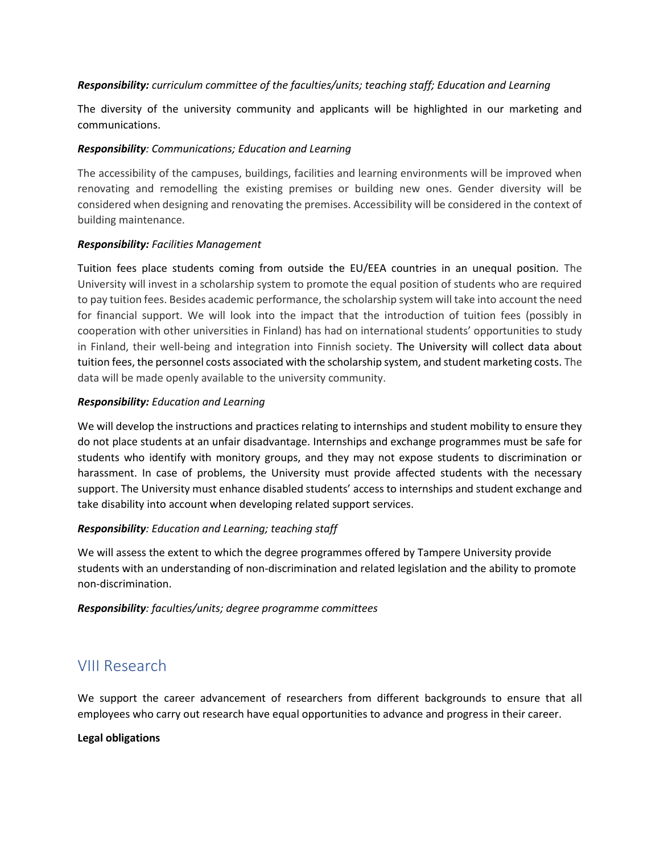### *Responsibility: curriculum committee of the faculties/units; teaching staff; Education and Learning*

The diversity of the university community and applicants will be highlighted in our marketing and communications.

### *Responsibility: Communications; Education and Learning*

The accessibility of the campuses, buildings, facilities and learning environments will be improved when renovating and remodelling the existing premises or building new ones. Gender diversity will be considered when designing and renovating the premises. Accessibility will be considered in the context of building maintenance.

### *Responsibility: Facilities Management*

Tuition fees place students coming from outside the EU/EEA countries in an unequal position. The University will invest in a scholarship system to promote the equal position of students who are required to pay tuition fees. Besides academic performance, the scholarship system will take into account the need for financial support. We will look into the impact that the introduction of tuition fees (possibly in cooperation with other universities in Finland) has had on international students' opportunities to study in Finland, their well-being and integration into Finnish society. The University will collect data about tuition fees, the personnel costs associated with the scholarship system, and student marketing costs. The data will be made openly available to the university community.

### *Responsibility: Education and Learning*

We will develop the instructions and practices relating to internships and student mobility to ensure they do not place students at an unfair disadvantage. Internships and exchange programmes must be safe for students who identify with monitory groups, and they may not expose students to discrimination or harassment. In case of problems, the University must provide affected students with the necessary support. The University must enhance disabled students' access to internships and student exchange and take disability into account when developing related support services.

### *Responsibility: Education and Learning; teaching staff*

We will assess the extent to which the degree programmes offered by Tampere University provide students with an understanding of non-discrimination and related legislation and the ability to promote non-discrimination.

<span id="page-21-0"></span>*Responsibility: faculties/units; degree programme committees*

## VIII Research

We support the career advancement of researchers from different backgrounds to ensure that all employees who carry out research have equal opportunities to advance and progress in their career.

### **Legal obligations**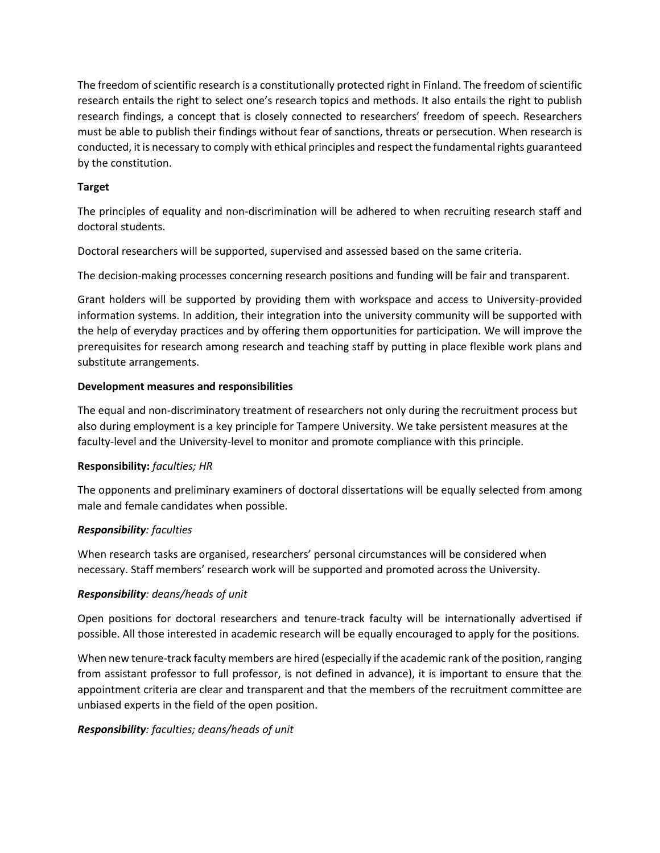The freedom of scientific research is a constitutionally protected right in Finland. The freedom of scientific research entails the right to select one's research topics and methods. It also entails the right to publish research findings, a concept that is closely connected to researchers' freedom of speech. Researchers must be able to publish their findings without fear of sanctions, threats or persecution. When research is conducted, it is necessary to comply with ethical principles and respect the fundamental rights guaranteed by the constitution.

### **Target**

The principles of equality and non-discrimination will be adhered to when recruiting research staff and doctoral students.

Doctoral researchers will be supported, supervised and assessed based on the same criteria.

The decision-making processes concerning research positions and funding will be fair and transparent.

Grant holders will be supported by providing them with workspace and access to University-provided information systems. In addition, their integration into the university community will be supported with the help of everyday practices and by offering them opportunities for participation. We will improve the prerequisites for research among research and teaching staff by putting in place flexible work plans and substitute arrangements.

### **Development measures and responsibilities**

The equal and non-discriminatory treatment of researchers not only during the recruitment process but also during employment is a key principle for Tampere University. We take persistent measures at the faculty-level and the University-level to monitor and promote compliance with this principle.

### **Responsibility:** *faculties; HR*

The opponents and preliminary examiners of doctoral dissertations will be equally selected from among male and female candidates when possible.

### *Responsibility: faculties*

When research tasks are organised, researchers' personal circumstances will be considered when necessary. Staff members' research work will be supported and promoted across the University.

### *Responsibility: deans/heads of unit*

Open positions for doctoral researchers and tenure-track faculty will be internationally advertised if possible. All those interested in academic research will be equally encouraged to apply for the positions.

When new tenure-track faculty members are hired (especially if the academic rank of the position, ranging from assistant professor to full professor, is not defined in advance), it is important to ensure that the appointment criteria are clear and transparent and that the members of the recruitment committee are unbiased experts in the field of the open position.

### *Responsibility: faculties; deans/heads of unit*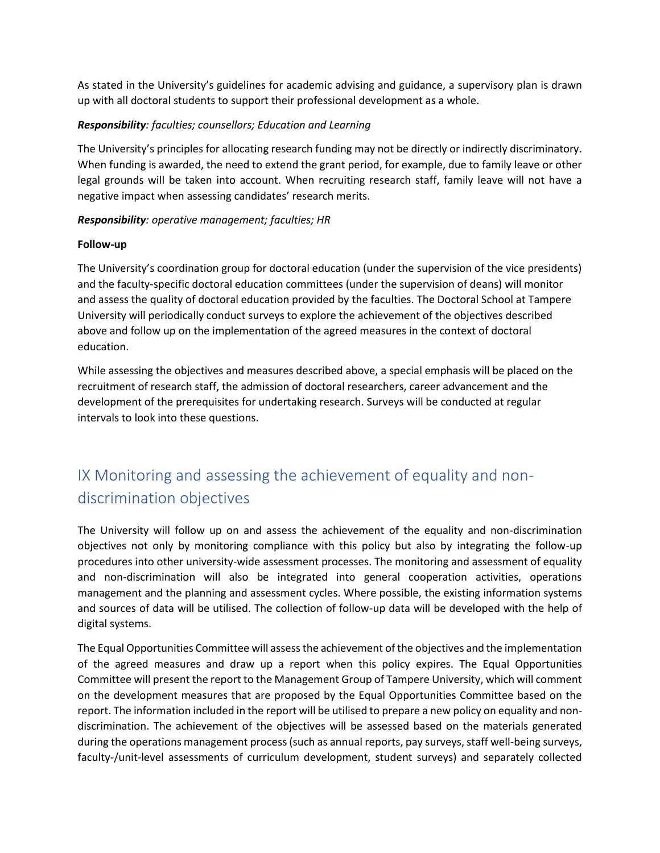As stated in the University's guidelines for academic advising and guidance, a supervisory plan is drawn up with all doctoral students to support their professional development as a whole.

### *Responsibility: faculties; counsellors; Education and Learning*

The University's principles for allocating research funding may not be directly or indirectly discriminatory. When funding is awarded, the need to extend the grant period, for example, due to family leave or other legal grounds will be taken into account. When recruiting research staff, family leave will not have a negative impact when assessing candidates' research merits.

### *Responsibility: operative management; faculties; HR*

### **Follow-up**

The University's coordination group for doctoral education (under the supervision of the vice presidents) and the faculty-specific doctoral education committees (under the supervision of deans) will monitor and assess the quality of doctoral education provided by the faculties. The Doctoral School at Tampere University will periodically conduct surveys to explore the achievement of the objectives described above and follow up on the implementation of the agreed measures in the context of doctoral education.

While assessing the objectives and measures described above, a special emphasis will be placed on the recruitment of research staff, the admission of doctoral researchers, career advancement and the development of the prerequisites for undertaking research. Surveys will be conducted at regular intervals to look into these questions.

## <span id="page-23-0"></span>IX Monitoring and assessing the achievement of equality and nondiscrimination objectives

The University will follow up on and assess the achievement of the equality and non-discrimination objectives not only by monitoring compliance with this policy but also by integrating the follow-up procedures into other university-wide assessment processes. The monitoring and assessment of equality and non-discrimination will also be integrated into general cooperation activities, operations management and the planning and assessment cycles. Where possible, the existing information systems and sources of data will be utilised. The collection of follow-up data will be developed with the help of digital systems.

The Equal Opportunities Committee will assess the achievement of the objectives and the implementation of the agreed measures and draw up a report when this policy expires. The Equal Opportunities Committee will present the report to the Management Group of Tampere University, which will comment on the development measures that are proposed by the Equal Opportunities Committee based on the report. The information included in the report will be utilised to prepare a new policy on equality and nondiscrimination. The achievement of the objectives will be assessed based on the materials generated during the operations management process (such as annual reports, pay surveys, staff well-being surveys, faculty-/unit-level assessments of curriculum development, student surveys) and separately collected